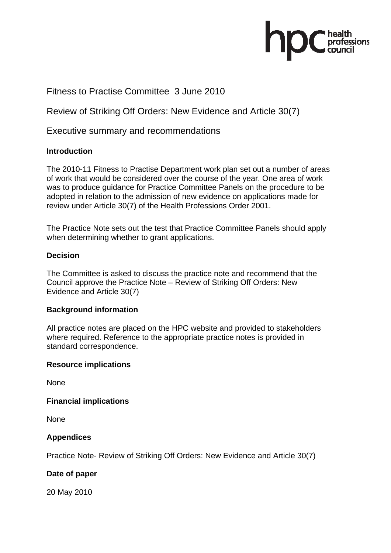# Fitness to Practise Committee 3 June 2010

Review of Striking Off Orders: New Evidence and Article 30(7)

Executive summary and recommendations

### **Introduction**

The 2010-11 Fitness to Practise Department work plan set out a number of areas of work that would be considered over the course of the year. One area of work was to produce guidance for Practice Committee Panels on the procedure to be adopted in relation to the admission of new evidence on applications made for review under Article 30(7) of the Health Professions Order 2001.

The Practice Note sets out the test that Practice Committee Panels should apply when determining whether to grant applications.

### **Decision**

The Committee is asked to discuss the practice note and recommend that the Council approve the Practice Note – Review of Striking Off Orders: New Evidence and Article 30(7)

### **Background information**

All practice notes are placed on the HPC website and provided to stakeholders where required. Reference to the appropriate practice notes is provided in standard correspondence.

### **Resource implications**

None

### **Financial implications**

None

# **Appendices**

Practice Note- Review of Striking Off Orders: New Evidence and Article 30(7)

### **Date of paper**

20 May 2010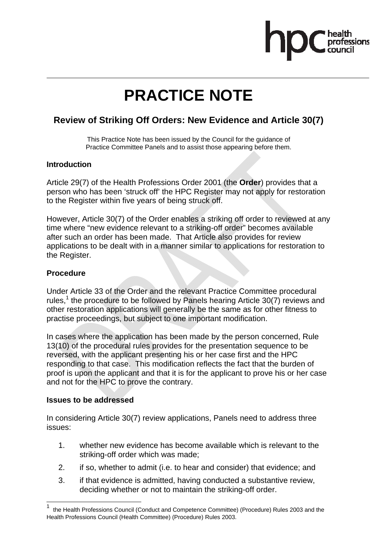

# **PRACTICE NOTE**

# **Review of Striking Off Orders: New Evidence and Article 30(7)**

This Practice Note has been issued by the Council for the guidance of Practice Committee Panels and to assist those appearing before them.

### **Introduction**

Article 29(7) of the Health Professions Order 2001 (the **Order**) provides that a person who has been 'struck off' the HPC Register may not apply for restoration to the Register within five years of being struck off.

However, Article 30(7) of the Order enables a striking off order to reviewed at any time where "new evidence relevant to a striking-off order" becomes available after such an order has been made. That Article also provides for review applications to be dealt with in a manner similar to applications for restoration to the Register.

### **Procedure**

Under Article 33 of the Order and the relevant Practice Committee procedural rules,<sup>1</sup> the procedure to be followed by Panels hearing Article 30(7) reviews and other restoration applications will generally be the same as for other fitness to practise proceedings, but subject to one important modification.

In cases where the application has been made by the person concerned, Rule 13(10) of the procedural rules provides for the presentation sequence to be reversed, with the applicant presenting his or her case first and the HPC responding to that case. This modification reflects the fact that the burden of proof is upon the applicant and that it is for the applicant to prove his or her case and not for the HPC to prove the contrary.

### **Issues to be addressed**

 $\overline{a}$ 

In considering Article 30(7) review applications, Panels need to address three issues:

- 1. whether new evidence has become available which is relevant to the striking-off order which was made;
- 2. if so, whether to admit (i.e. to hear and consider) that evidence; and
- 3. if that evidence is admitted, having conducted a substantive review, deciding whether or not to maintain the striking-off order.

<sup>1</sup> the Health Professions Council (Conduct and Competence Committee) (Procedure) Rules 2003 and the Health Professions Council (Health Committee) (Procedure) Rules 2003.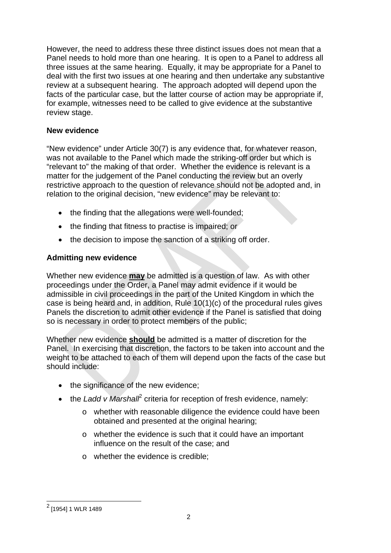However, the need to address these three distinct issues does not mean that a Panel needs to hold more than one hearing. It is open to a Panel to address all three issues at the same hearing. Equally, it may be appropriate for a Panel to deal with the first two issues at one hearing and then undertake any substantive review at a subsequent hearing. The approach adopted will depend upon the facts of the particular case, but the latter course of action may be appropriate if, for example, witnesses need to be called to give evidence at the substantive review stage.

### **New evidence**

"New evidence" under Article 30(7) is any evidence that, for whatever reason, was not available to the Panel which made the striking-off order but which is "relevant to" the making of that order. Whether the evidence is relevant is a matter for the judgement of the Panel conducting the review but an overly restrictive approach to the question of relevance should not be adopted and, in relation to the original decision, "new evidence" may be relevant to:

- the finding that the allegations were well-founded;
- the finding that fitness to practise is impaired; or
- the decision to impose the sanction of a striking off order.

# **Admitting new evidence**

Whether new evidence **may** be admitted is a question of law. As with other proceedings under the Order, a Panel may admit evidence if it would be admissible in civil proceedings in the part of the United Kingdom in which the case is being heard and, in addition, Rule 10(1)(c) of the procedural rules gives Panels the discretion to admit other evidence if the Panel is satisfied that doing so is necessary in order to protect members of the public;

Whether new evidence **should** be admitted is a matter of discretion for the Panel. In exercising that discretion, the factors to be taken into account and the weight to be attached to each of them will depend upon the facts of the case but should include:

- the significance of the new evidence;
- the *Ladd v Marshall<sup>2</sup>* criteria for reception of fresh evidence, namely:
	- o whether with reasonable diligence the evidence could have been obtained and presented at the original hearing;
	- o whether the evidence is such that it could have an important influence on the result of the case; and
	- o whether the evidence is credible;

 $\overline{a}$ 

<sup>&</sup>lt;sup>2</sup> [1954] 1 WLR 1489